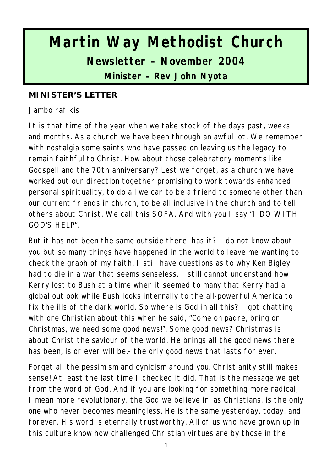# **Martin Way Methodist Church Newsletter – November 2004 Minister – Rev John Nyota**

#### **MINISTER'S LETTER**

Jambo rafikis

It is that time of the year when we take stock of the days past, weeks and months. As a church we have been through an awful lot. We remember with nostalgia some saints who have passed on leaving us the legacy to remain faithful to Christ. How about those celebratory moments like Godspell and the 70th anniversary? Lest we forget, as a church we have worked out our direction together promising to work towards enhanced personal spirituality, to do all we can to be a friend to someone other than our current friends in church, to be all inclusive in the church and to tell others about Christ. We call this SOFA. And with you I say "I DO WITH GOD'S HELP".

But it has not been the same outside there, has it? I do not know about you but so many things have happened in the world to leave me wanting to check the graph of my faith. I still have questions as to why Ken Bigley had to die in a war that seems senseless. I still cannot understand how Kerry lost to Bush at a time when it seemed to many that Kerry had a global outlook while Bush looks internally to the all-powerful America to fix the ills of the dark world. So where is God in all this? I got chatting with one Christian about this when he said, "Come on padre, bring on Christmas, we need some good news!". Some good news? Christmas is about Christ the saviour of the world. He brings all the good news there has been, is or ever will be.- the only good news that lasts for ever.

Forget all the pessimism and cynicism around you. Christianity still makes sense! At least the last time I checked it did. That is the message we get from the word of God. And if you are looking for something more radical, I mean more revolutionary, the God we believe in, as Christians, is the only one who never becomes meaningless. He is the same yesterday, today, and forever. His word is eternally trustworthy. All of us who have grown up in this culture know how challenged Christian virtues are by those in the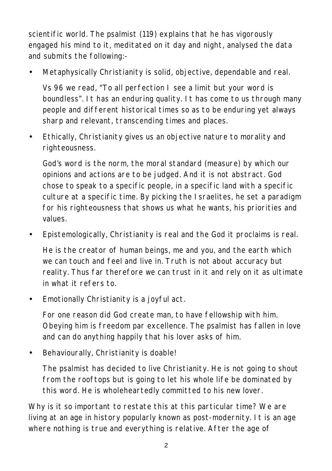scientific world. The psalmist (119) explains that he has vigorously engaged his mind to it, meditated on it day and night, analysed the data and submits the following:-

• Metaphysically Christianity is solid, objective, dependable and real.

Vs 96 we read, "To all perfection I see a limit but your word is boundless". It has an enduring quality. It has come to us through many people and different historical times so as to be enduring yet always sharp and relevant, transcending times and places.

• Ethically, Christianity gives us an objective nature to morality and righteousness.

God's word is the norm, the moral standard (measure) by which our opinions and actions are to be judged. And it is not abstract. God chose to speak to a specific people, in a specific land with a specific culture at a specific time. By picking the Israelites, he set a paradigm for his righteousness that shows us what he wants, his priorities and values.

• Epistemologically, Christianity is real and the God it proclaims is real.

He is the creator of human beings, me and you, and the earth which we can touch and feel and live in. Truth is not about accuracy but reality. Thus far therefore we can trust in it and rely on it as ultimate in what it refers to.

• Emotionally Christianity is a joyful act.

For one reason did God create man, to have fellowship with him. Obeying him is freedom par excellence. The psalmist has fallen in love and can do anything happily that his lover asks of him.

• Behaviourally, Christianity is doable!

The psalmist has decided to live Christianity. He is not going to shout from the rooftops but is going to let his whole life be dominated by this word. He is wholeheartedly committed to his new lover.

Why is it so important to restate this at this particular time? We are living at an age in history popularly known as post-modernity. It is an age where nothing is true and everything is relative. After the age of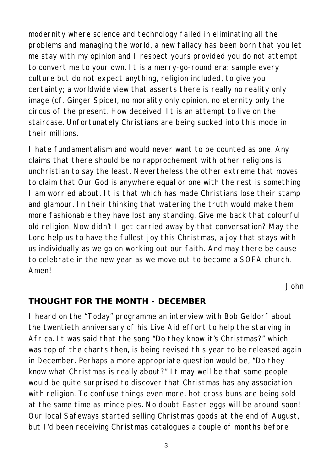modernity where science and technology failed in eliminating all the problems and managing the world, a new fallacy has been born that you let me stay with my opinion and I respect yours provided you do not attempt to convert me to your own. It is a merry-go-round era: sample every culture but do not expect anything, religion included, to give you certainty; a worldwide view that asserts there is really no reality only image (cf. Ginger Spice), no morality only opinion, no eternity only the circus of the present. How deceived! It is an attempt to live on the staircase. Unfortunately Christians are being sucked into this mode in their millions.

I hate fundamentalism and would never want to be counted as one. Any claims that there should be no rapprochement with other religions is unchristian to say the least. Nevertheless the other extreme that moves to claim that Our God is anywhere equal or one with the rest is something I am worried about. It is that which has made Christians lose their stamp and glamour. In their thinking that watering the truth would make them more fashionable they have lost any standing. Give me back that colourful old religion. Now didn't I get carried away by that conversation? May the Lord help us to have the fullest joy this Christmas, a joy that stays with us individually as we go on working out our faith. And may there be cause to celebrate in the new year as we move out to become a SOFA church. Amen!

*John*

#### **THOUGHT FOR THE MONTH - DECEMBER**

I heard on the "Today" programme an interview with Bob Geldorf about the twentieth anniversary of his Live Aid effort to help the starving in Africa. It was said that the song "Do they know it's Christmas?" which was top of the charts then, is being revised this year to be released again in December. Perhaps a more appropriate question would be, "Do they know what Christmas is really about?" It may well be that some people would be quite surprised to discover that Christmas has any association with religion. To confuse things even more, hot cross buns are being sold at the same time as mince pies. No doubt Easter eggs will be around soon! Our local Safeways started selling Christmas goods at the end of August, but I'd been receiving Christmas catalogues a couple of months before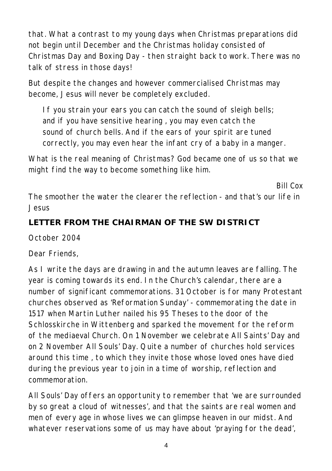that. What a contrast to my young days when Christmas preparations did not begin until December and the Christmas holiday consisted of Christmas Day and Boxing Day - then straight back to work. There was no talk of stress in those days!

But despite the changes and however commercialised Christmas may become, Jesus will never be completely excluded.

If you strain your ears you can catch the sound of sleigh bells; and if you have sensitive hearing , you may even catch the sound of church bells. And if the ears of your spirit are tuned correctly, you may even hear the infant cry of a baby in a manger.

What is the real meaning of Christmas? God became one of us so that we might find the way to become something like him.

*The smoother the water the clearer the reflection - and that's our life in Jesus*

*Bill Cox*

### **LETTER FROM THE CHAIRMAN OF THE SW DISTRICT**

October 2004

Dear Friends,

As I write the days are drawing in and the autumn leaves are falling. The year is coming towards its end. In the Church's calendar, there are a number of significant commemorations. 31 October is for many Protestant churches observed as 'Reformation Sunday' - commemorating the date in 1517 when Martin Luther nailed his 95 Theses to the door of the Schlosskirche in Wittenberg and sparked the movement for the reform of the mediaeval Church. On 1 November we celebrate All Saints' Day and on 2 November All Souls' Day. Quite a number of churches hold services around this time , to which they invite those whose loved ones have died during the previous year to join in a time of worship, reflection and commemoration.

All Souls' Day offers an opportunity to remember that 'we are surrounded by so great a cloud of witnesses', and that the saints are real women and men of every age in whose lives we can glimpse heaven in our midst. And whatever reservations some of us may have about 'praying for the dead',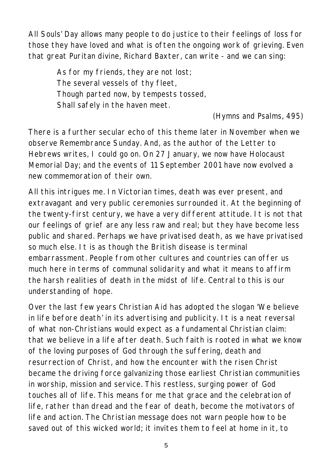All Souls' Day allows many people to do justice to their feelings of loss for those they have loved and what is often the ongoing work of grieving. Even that great Puritan divine, Richard Baxter, can write - and we can sing:

> As for my friends, they are not lost; The several vessels of thy fleet, Though parted now, by tempests tossed, Shall safely in the haven meet.

> > *(Hymns and Psalms, 495)*

There is a further secular echo of this theme later in November when we observe Remembrance Sunday. And, as the author of the Letter to Hebrews writes, I could go on. On 27 January, we now have Holocaust Memorial Day; and the events of 11 September 2001 have now evolved a new commemoration of their own.

All this intrigues me. In Victorian times, death was ever present, and extravagant and very public ceremonies surrounded it. At the beginning of the twenty-first century, we have a very different attitude. It is not that our feelings of grief are any less raw and real; but they have become less public and shared. Perhaps we have privatised death, as we have privatised so much else. It is as though the British disease is terminal embarrassment. People from other cultures and countries can offer us much here in terms of communal solidarity and what it means to affirm the harsh realities of death in the midst of life. Central to this is our understanding of hope.

Over the last few years Christian Aid has adopted the slogan 'We believe in life before death' in its advertising and publicity. It is a neat reversal of what non-Christians would expect as a fundamental Christian claim: that we believe in a life after death. Such faith is rooted in what we know of the loving purposes of God through the suffering, death and resurrection of Christ, and how the encounter with the risen Christ became the driving force galvanizing those earliest Christian communities in worship, mission and service. This restless, surging power of God touches all of life. This means for me that grace and the celebration of life, rather than dread and the fear of death, become the motivators of life and action. The Christian message does not warn people how to be saved out of this wicked world; it invites them to feel at home in it, to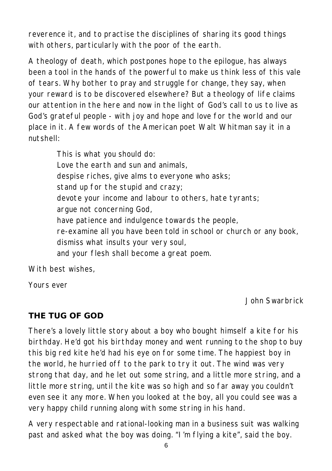reverence it, and to practise the disciplines of sharing its good things with others, particularly with the poor of the earth.

A theology of death, which postpones hope to the epilogue, has always been a tool in the hands of the powerful to make us think less of this vale of tears. Why bother to pray and struggle for change, they say, when your reward is to be discovered elsewhere? But a theology of life claims our attention in the here and now in the light of God's call to us to live as God's grateful people - with joy and hope and love for the world and our place in it. A few words of the American poet Walt Whitman say it in a nutshell:

> This is what you should do: Love the earth and sun and animals, despise riches, give alms to everyone who asks; stand up for the stupid and crazy; devote your income and labour to others, hate tyrants; argue not concerning God, have patience and indulgence towards the people, re-examine all you have been told in school or church or any book, dismiss what insults your very soul, and your flesh shall become a great poem.

With best wishes

Yours ever

#### *John Swarbrick*

#### **THE TUG OF GOD**

There's a lovely little story about a boy who bought himself a kite for his birthday. He'd got his birthday money and went running to the shop to buy this big red kite he'd had his eye on for some time. The happiest boy in the world, he hurried off to the park to try it out. The wind was very strong that day, and he let out some string, and a little more string, and a little more string, until the kite was so high and so far away you couldn't even see it any more. When you looked at the boy, all you could see was a very happy child running along with some string in his hand.

A very respectable and rational-looking man in a business suit was walking past and asked what the boy was doing. "I'm flying a kite", said the boy.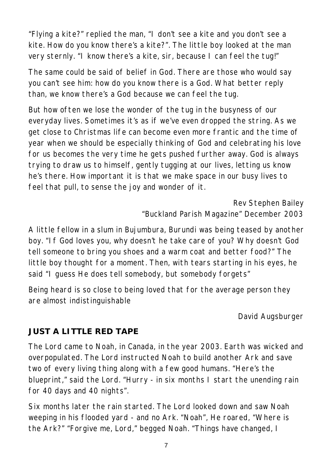"Flying a kite?" replied the man, "I don't see a kite and you don't see a kite. How do you know there's a kite?". The little boy looked at the man very sternly. "I know there's a kite, sir, because I can feel the tug!"

The same could be said of belief in God. There are those who would say you can't see him: how do you know there is a God. What better reply than, we know there's a God because we can feel the tug.

But how often we lose the wonder of the tug in the busyness of our everyday lives. Sometimes it's as if we've even dropped the string. As we get close to Christmas life can become even more frantic and the time of year when we should be especially thinking of God and celebrating his love for us becomes the very time he gets pushed further away. God is always trying to draw us to himself, gently tugging at our lives, letting us know he's there. How important it is that we make space in our busy lives to feel that pull, to sense the joy and wonder of it.

#### *Rev Stephen Bailey "Buckland Parish Magazine" December 2003*

A little fellow in a slum in Bujumbura, Burundi was being teased by another boy. "If God loves you, why doesn't he take care of you? Why doesn't God tell someone to bring you shoes and a warm coat and better food?" The little boy thought for a moment. Then, with tears starting in his eyes, he said "I guess He does tell somebody, but somebody forgets"

Being heard is so close to being loved that for the average person they are almost indistinguishable

#### *David Augsburger*

## **JUST A LITTLE RED TAPE**

The Lord came to Noah, in Canada, in the year 2003. Earth was wicked and overpopulated. The Lord instructed Noah to build another Ark and save two of every living thing along with a few good humans. "Here's the blueprint," said the Lord. "Hurry - in six months I start the unending rain for 40 days and 40 nights".

Six months later the rain started. The Lord looked down and saw Noah weeping in his flooded yard - and no Ark. "Noah", He roared, "Where is the Ark?" "Forgive me, Lord," begged Noah. "Things have changed, I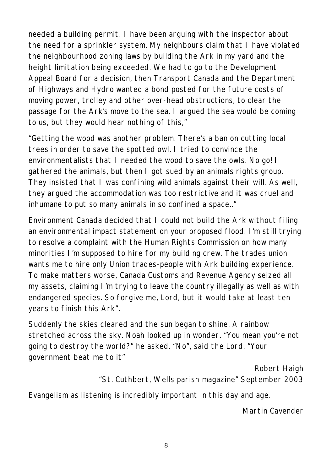needed a building permit. I have been arguing with the inspector about the need for a sprinkler system. My neighbours claim that I have violated the neighbourhood zoning laws by building the Ark in my yard and the height limitation being exceeded. We had to go to the Development Appeal Board for a decision, then Transport Canada and the Department of Highways and Hydro wanted a bond posted for the future costs of moving power, trolley and other over-head obstructions, to clear the passage for the Ark's move to the sea. I argued the sea would be coming to us, but they would hear nothing of this,"

"Getting the wood was another problem. There's a ban on cutting local trees in order to save the spotted owl. I tried to convince the environmentalists that I needed the wood to save the owls. No go! I gathered the animals, but then I got sued by an animals rights group. They insisted that I was confining wild animals against their will. As well, they argued the accommodation was too restrictive and it was cruel and inhumane to put so many animals in so confined a space.."

Environment Canada decided that I could not build the Ark without filing an environmental impact statement on your proposed flood. I'm still trying to resolve a complaint with the Human Rights Commission on how many minorities I'm supposed to hire for my building crew. The trades union wants me to hire only Union trades-people with Ark building experience. To make matters worse, Canada Customs and Revenue Agency seized all my assets, claiming I'm trying to leave the country illegally as well as with endangered species. So forgive me, Lord, but it would take at least ten years to finish this Ark".

Suddenly the skies cleared and the sun began to shine. A rainbow stretched across the sky. Noah looked up in wonder. "You mean you're not going to destroy the world?" he asked. "No", said the Lord. "Your government beat me to it"

*Robert Haigh "St. Cuthbert, Wells parish magazine" September 2003 Evangelism as listening is incredibly important in this day and age.*

*Martin Cavender*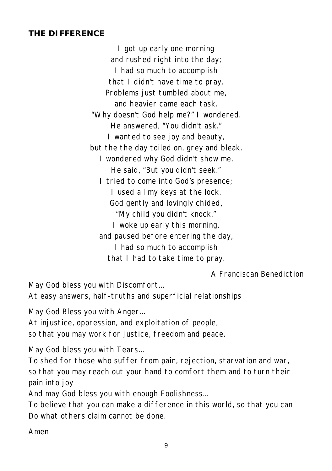#### **THE DIFFERENCE**

I got up early one morning and rushed right into the day; I had so much to accomplish that I didn't have time to pray. Problems just tumbled about me, and heavier came each task. "Why doesn't God help me?" I wondered. He answered, "You didn't ask." I wanted to see joy and beauty, but the the day toiled on, grey and bleak. I wondered why God didn't show me. He said, "But you didn't seek." I tried to come into God's presence; I used all my keys at the lock. God gently and lovingly chided, "My child you didn't knock." I woke up early this morning, and paused before entering the day, I had so much to accomplish that I had to take time to pray.

*A Franciscan Benediction*

May God bless you with Discomfort...

At easy answers, half-truths and superficial relationships

May God Bless you with Anger...

At injustice, oppression, and exploitation of people,

so that you may work for justice, freedom and peace.

May God bless you with Tears...

To shed for those who suffer from pain, rejection, starvation and war, so that you may reach out your hand to comfort them and to turn their pain into joy

And may God bless you with enough Foolishness...

To believe that you can make a difference in this world, so that you can Do what others claim cannot be done.

Amen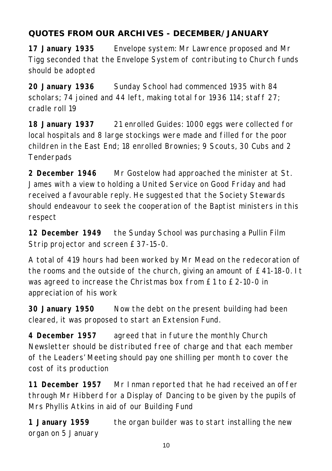## **QUOTES FROM OUR ARCHIVES - DECEMBER/JANUARY**

**17 January 1935** Envelope system: Mr Lawrence proposed and Mr Tigg seconded that the Envelope System of contributing to Church funds should be adopted

**20 January 1936** Sunday School had commenced 1935 with 84 scholars; 74 joined and 44 left, making total for 1936 114; staff 27; cradle roll 19

**18 January 1937** 21 enrolled Guides: 1000 eggs were collected for local hospitals and 8 large stockings were made and filled for the poor children in the East End; 18 enrolled Brownies; 9 Scouts, 30 Cubs and 2 **Tenderpads** 

**2 December 1946** Mr Gostelow had approached the minister at St. James with a view to holding a United Service on Good Friday and had received a favourable reply. He suggested that the Society Stewards should endeavour to seek the cooperation of the Baptist ministers in this respect

**12 December 1949** the Sunday School was purchasing a Pullin Film Strip projector and screen £37-15-0.

A total of 419 hours had been worked by Mr Mead on the redecoration of the rooms and the outside of the church, giving an amount of £41-18-0. It was agreed to increase the Christmas box from £1 to £2-10-0 in appreciation of his work

**30 January 1950** Now the debt on the present building had been cleared, it was proposed to start an Extension Fund.

**4 December 1957** agreed that in future the monthly Church Newsletter should be distributed free of charge and that each member of the Leaders' Meeting should pay one shilling per month to cover the cost of its production

**11 December 1957** Mr Inman reported that he had received an offer through Mr Hibberd for a Display of Dancing to be given by the pupils of Mrs Phyllis Atkins in aid of our Building Fund

**1 January 1959** the organ builder was to start installing the new organ on 5 January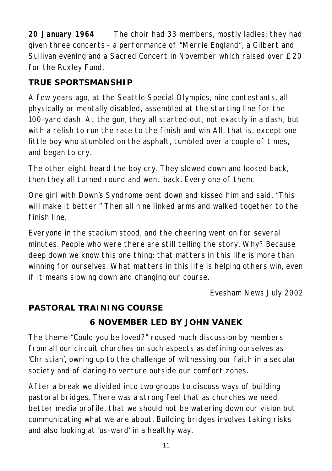**20 January 1964** The choir had 33 members, mostly ladies; they had given three concerts - a performance of "Merrie England", a Gilbert and Sullivan evening and a Sacred Concert in November which raised over £20 for the Ruxley Fund.

## **TRUE SPORTSMANSHIP**

A few years ago, at the Seattle Special Olympics, nine contestants, all physically or mentally disabled, assembled at the starting line for the 100-yard dash. At the gun, they all started out, not exactly in a dash, but with a relish to run the race to the finish and win All, that is, except one little boy who stumbled on the asphalt, tumbled over a couple of times, and began to cry.

The other eight heard the boy cry. They slowed down and looked back, then they all turned round and went back. Every one of them.

One girl with Down's Syndrome bent down and kissed him and said, "This will make it better." Then all nine linked arms and walked together to the finish line.

Everyone in the stadium stood, and the cheering went on for several minutes. People who were there are still telling the story. Why? Because deep down we know this one thing: that matters in this life is more than winning for ourselves. What matters in this life is helping others win, even if it means slowing down and changing our course.

*Evesham News July 2002*

## **PASTORAL TRAINING COURSE**

#### **6 NOVEMBER LED BY JOHN VANEK**

The theme "Could you be loved?" roused much discussion by members from all our circuit churches on such aspects as defining ourselves as 'Christian', owning up to the challenge of witnessing our faith in a secular society and of daring to venture outside our comfort zones.

After a break we divided into two groups to discuss ways of building pastoral bridges. There was a strong feel that as churches we need better media profile, that we should not be watering down our vision but communicating what we are about. Building bridges involves taking risks and also looking at 'us-ward' in a healthy way.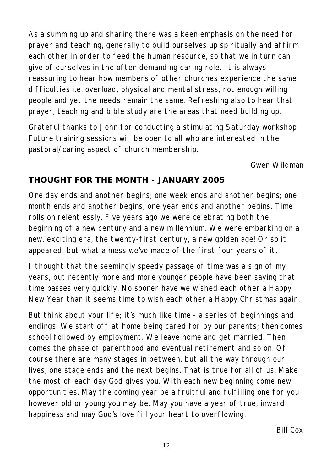As a summing up and sharing there was a keen emphasis on the need for prayer and teaching, generally to build ourselves up spiritually and affirm each other in order to feed the human resource, so that we in turn can give of ourselves in the often demanding caring role. It is always reassuring to hear how members of other churches experience the same difficulties i.e. overload, physical and mental stress, not enough willing people and yet the needs remain the same. Refreshing also to hear that prayer, teaching and bible study are the areas that need building up.

Grateful thanks to John for conducting a stimulating Saturday workshop Future training sessions will be open to all who are interested in the pastoral/caring aspect of church membership.

*Gwen Wildman*

### **THOUGHT FOR THE MONTH - JANUARY 2005**

One day ends and another begins; one week ends and another begins; one month ends and another begins; one year ends and another begins. Time rolls on relentlessly. Five years ago we were celebrating both the beginning of a new century and a new millennium. We were embarking on a new, exciting era, the twenty-first century, a new golden age! Or so it appeared, but what a mess we've made of the first four years of it.

I thought that the seemingly speedy passage of time was a sign of my years, but recently more and more younger people have been saying that time passes very quickly. No sooner have we wished each other a Happy New Year than it seems time to wish each other a Happy Christmas again.

But think about your life; it's much like time - a series of beginnings and endings. We start off at home being cared for by our parents; then comes school followed by employment. We leave home and get married. Then comes the phase of parenthood and eventual retirement and so on. Of course there are many stages in between, but all the way through our lives, one stage ends and the next begins. That is true for all of us. Make the most of each day God gives you. With each new beginning come new opportunities. May the coming year be a fruitful and fulfilling one for you however old or young you may be. May you have a year of true, inward happiness and may God's love fill your heart to overflowing.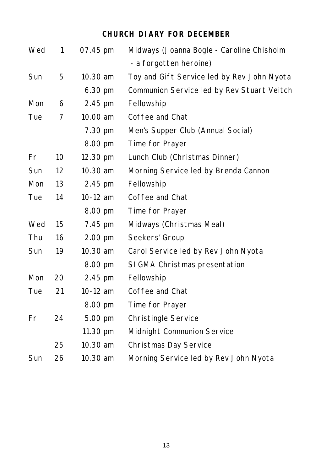## **CHURCH DIARY FOR DECEMBER**

| 1  | 07.45 pm | Midways (Joanna Bogle - Caroline Chisholm  |
|----|----------|--------------------------------------------|
|    |          | - a forgotten heroine)                     |
|    |          | Toy and Gift Service led by Rev John Nyota |
|    | 6.30 pm  | Communion Service led by Rev Stuart Veitch |
| 6  | 2.45 pm  | Fellowship                                 |
| 7  | 10.00 am | Coffee and Chat                            |
|    | 7.30 pm  | Men's Supper Club (Annual Social)          |
|    | 8.00 pm  | Time for Prayer                            |
| 10 | 12.30 pm | Lunch Club (Christmas Dinner)              |
| 12 | 10.30 am | Morning Service led by Brenda Cannon       |
| 13 | 2.45 pm  | Fellowship                                 |
| 14 | 10-12 am | Coffee and Chat                            |
|    | 8.00 pm  | Time for Prayer                            |
| 15 | 7.45 pm  | Midways (Christmas Meal)                   |
| 16 | 2.00 pm  | Seekers' Group                             |
| 19 | 10.30 am | Carol Service led by Rev John Nyota        |
|    | 8.00 pm  | SIGMA Christmas presentation               |
| 20 | 2.45 pm  | Fellowship                                 |
| 21 | 10-12 am | Coffee and Chat                            |
|    | 8.00 pm  | Time for Prayer                            |
| 24 | 5.00 pm  | <b>Christingle Service</b>                 |
|    | 11.30 pm | Midnight Communion Service                 |
| 25 | 10.30 am | Christmas Day Service                      |
| 26 | 10.30 am | Morning Service led by Rev John Nyota      |
|    | 5        | 10.30 am                                   |